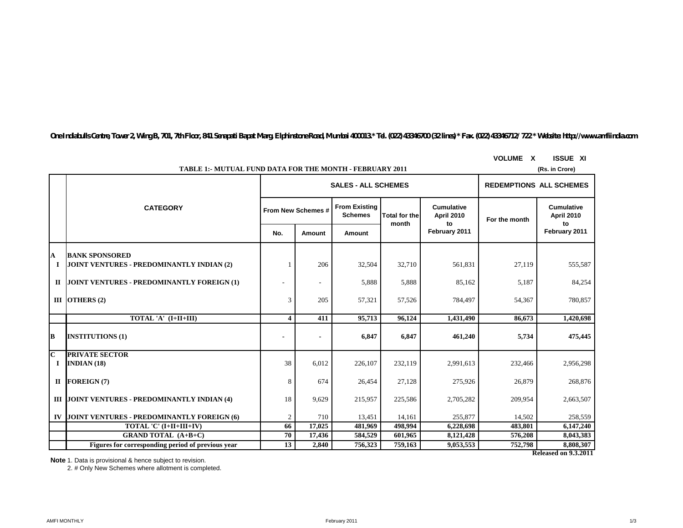*One Indiabulls Centre, Tower 2, Wing B, 701, 7th Floor, 841 Senapati Bapat Marg, Elphinstone Road, Mumbai 400013.\* Tel. (022) 43346700 (32 lines) \* Fax. (022) 43346712/ 722 \* Website: http://www.amfiindia.com*

|                         | <b>TABLE 1:- MUTUAL FUND DATA FOR THE MONTH - FEBRUARY 2011</b><br>(Rs. in Crore) |                |                    |                                        |                                |                                              |               |                                 |  |  |  |
|-------------------------|-----------------------------------------------------------------------------------|----------------|--------------------|----------------------------------------|--------------------------------|----------------------------------------------|---------------|---------------------------------|--|--|--|
|                         |                                                                                   |                |                    | <b>SALES - ALL SCHEMES</b>             | <b>REDEMPTIONS ALL SCHEMES</b> |                                              |               |                                 |  |  |  |
|                         | <b>CATEGORY</b>                                                                   |                | From New Schemes # | <b>From Existing</b><br><b>Schemes</b> | <b>Total for the</b><br>month  | <b>Cumulative</b><br><b>April 2010</b><br>to | For the month | <b>Cumulative</b><br>April 2010 |  |  |  |
|                         |                                                                                   |                | Amount             | <b>Amount</b>                          |                                | February 2011                                |               | to<br>February 2011             |  |  |  |
| A                       | <b>BANK SPONSORED</b>                                                             |                |                    |                                        |                                |                                              |               |                                 |  |  |  |
| 1                       | JOINT VENTURES - PREDOMINANTLY INDIAN (2)                                         |                | 206                | 32,504                                 | 32,710                         | 561,831                                      | 27,119        | 555,587                         |  |  |  |
|                         | II JOINT VENTURES - PREDOMINANTLY FOREIGN (1)                                     |                |                    | 5,888                                  | 5,888                          | 85,162                                       | 5,187         | 84,254                          |  |  |  |
|                         | III OTHERS $(2)$                                                                  | 3              | 205                | 57,321                                 | 57,526                         | 784,497                                      | 54,367        | 780,857                         |  |  |  |
|                         | TOTAL 'A' (I+II+III)                                                              | 4              | 411                | 95,713                                 | 96,124                         | 1,431,490                                    | 86,673        | 1,420,698                       |  |  |  |
| B                       | <b>INSTITUTIONS (1)</b>                                                           |                |                    | 6,847                                  | 6,847                          | 461,240                                      | 5,734         | 475,445                         |  |  |  |
| $\overline{\mathbf{c}}$ | <b>PRIVATE SECTOR</b>                                                             |                |                    |                                        |                                |                                              |               |                                 |  |  |  |
| $\bf{I}$                | INDIAN(18)                                                                        | 38             | 6,012              | 226,107                                | 232,119                        | 2,991,613                                    | 232,466       | 2,956,298                       |  |  |  |
|                         | $II$ FOREIGN (7)                                                                  | 8              | 674                | 26,454                                 | 27,128                         | 275,926                                      | 26,879        | 268,876                         |  |  |  |
|                         | <b>III JOINT VENTURES - PREDOMINANTLY INDIAN (4)</b>                              | 18             | 9,629              | 215,957                                | 225,586                        | 2,705,282                                    | 209,954       | 2,663,507                       |  |  |  |
|                         | IV JOINT VENTURES - PREDOMINANTLY FOREIGN (6)                                     | $\mathfrak{2}$ | 710                | 13,451                                 | 14,161                         | 255,877                                      | 14,502        | 258,559                         |  |  |  |
|                         | TOTAL 'C' (I+II+III+IV)                                                           | 66             | 17,025             | 481,969                                | 498.994                        | 6,228,698                                    | 483,801       | 6,147,240                       |  |  |  |
|                         | <b>GRAND TOTAL (A+B+C)</b>                                                        | 70             | 17,436             | 584,529                                | 601,965                        | 8,121,428                                    | 576,208       | 8,043,383                       |  |  |  |
|                         | Figures for corresponding period of previous vear                                 | 13             | 2,840              | 756,323                                | 759,163                        | 9,053,553                                    | 752,798       | 8,808,307                       |  |  |  |
|                         | <b>Released on 9.3.2011</b>                                                       |                |                    |                                        |                                |                                              |               |                                 |  |  |  |

**VOLUME X ISSUE XI**

**Note**:1. Data is provisional & hence subject to revision.

2. # Only New Schemes where allotment is completed.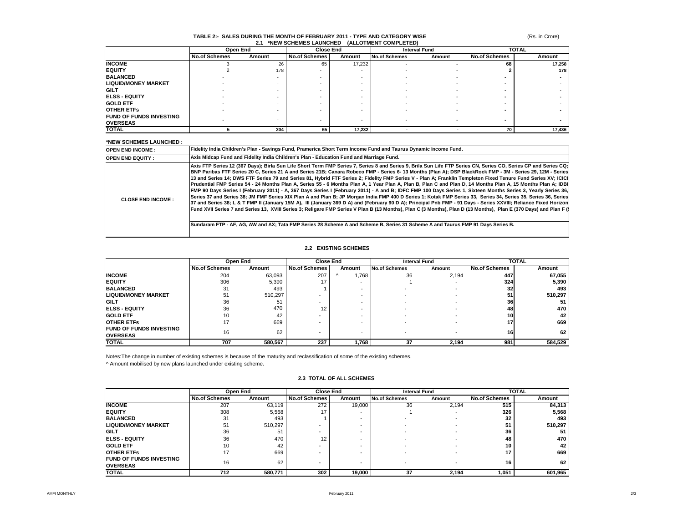# **TABLE 2:- SALES DURING THE MONTH OF FEBRUARY 2011 - TYPE AND CATEGORY WISE 2.1 \*NEW SCHEMES LAUNCHED (ALLOTMENT COMPLETED)**

(Rs. in Crore)

|                                | Open End             |        |                      | <b>Close End</b>         |                          | <b>Interval Fund</b>     |                          | <b>TOTAL</b> |  |
|--------------------------------|----------------------|--------|----------------------|--------------------------|--------------------------|--------------------------|--------------------------|--------------|--|
|                                | <b>No.of Schemes</b> | Amount | <b>No.of Schemes</b> | Amount                   | <b>No.of Schemes</b>     | Amount                   | <b>No.of Schemes</b>     | Amount       |  |
| <b>INCOME</b>                  |                      | 26     | 65                   | 17,232                   | $\overline{\phantom{a}}$ | <b>.</b>                 | 68                       | 17,258       |  |
| <b>IEQUITY</b>                 |                      | 178    |                      |                          |                          |                          |                          | 178          |  |
| <b>BALANCED</b>                |                      |        |                      |                          |                          |                          |                          |              |  |
| <b>LIQUID/MONEY MARKET</b>     |                      |        |                      |                          |                          |                          |                          |              |  |
| <b>GILT</b>                    |                      |        |                      |                          |                          | -                        |                          |              |  |
| <b>IELSS - EQUITY</b>          |                      |        |                      |                          |                          |                          |                          |              |  |
| <b>GOLD ETF</b>                |                      |        |                      |                          |                          |                          |                          |              |  |
| <b>OTHER ETFS</b>              |                      |        |                      |                          |                          |                          |                          |              |  |
| <b>FUND OF FUNDS INVESTING</b> |                      |        |                      |                          |                          |                          |                          |              |  |
| <b>OVERSEAS</b>                |                      |        |                      | $\overline{\phantom{a}}$ | $\overline{\phantom{a}}$ | $\overline{\phantom{a}}$ | $\overline{\phantom{a}}$ |              |  |
| <b>TOTAL</b>                   |                      | 204    | 65                   | 17,232                   |                          |                          | 70                       | 17,436       |  |

#### **\*NEW SCHEMES LAUNCHED :**

| <b>NEW SCHEMES EAGNOTIED.</b> |                                                                                                                                                                                                                                                                                                                                                                                                                                                                                                                                                                                                                                                                                                                                                                                                                                                                                                                                                                                                                                                                                                                                                                                                                                                                                                                                                                                                                                                                                             |
|-------------------------------|---------------------------------------------------------------------------------------------------------------------------------------------------------------------------------------------------------------------------------------------------------------------------------------------------------------------------------------------------------------------------------------------------------------------------------------------------------------------------------------------------------------------------------------------------------------------------------------------------------------------------------------------------------------------------------------------------------------------------------------------------------------------------------------------------------------------------------------------------------------------------------------------------------------------------------------------------------------------------------------------------------------------------------------------------------------------------------------------------------------------------------------------------------------------------------------------------------------------------------------------------------------------------------------------------------------------------------------------------------------------------------------------------------------------------------------------------------------------------------------------|
| <b>OPEN END INCOME:</b>       | <b>IFidelity India Children's Plan - Savings Fund. Pramerica Short Term Income Fund and Taurus Dynamic Income Fund.</b>                                                                                                                                                                                                                                                                                                                                                                                                                                                                                                                                                                                                                                                                                                                                                                                                                                                                                                                                                                                                                                                                                                                                                                                                                                                                                                                                                                     |
| <b>OPEN END EQUITY:</b>       | Axis Midcap Fund and Fidelity India Children's Plan - Education Fund and Marriage Fund.                                                                                                                                                                                                                                                                                                                                                                                                                                                                                                                                                                                                                                                                                                                                                                                                                                                                                                                                                                                                                                                                                                                                                                                                                                                                                                                                                                                                     |
| <b>CLOSE END INCOME:</b>      | Axis FTP Series 12 (367 Days); Birla Sun Life Short Term FMP Series 7, Series 8 and Series 9, Brila Sun Life FTP Series CN, Series CO, Series CP and Series CQ;<br>BNP Paribas FTF Series 20 C, Series 21 A and Series 21B; Canara Robeco FMP - Series 6-13 Months (Plan A); DSP BlackRock FMP - 3M - Series 29, 12M - Series<br>13 and Series 14; DWS FTF Series 79 and Series 81, Hybrid FTF Series 2; Fidelity FMP Series V - Plan A; Franklin Templeton Fixed Tenure Fund Series XV; ICICI<br>Prudential FMP Series 54 - 24 Months Plan A, Series 55 - 6 Months Plan A, 1 Year Plan A, Plan B, Plan C and Plan D, 14 Months Plan A, 15 Months Plan A; 1DBI<br>FMP 90 Days Series I (February 2011) - A, 367 Days Series I (February 2011) - A and B; IDFC FMP 100 Days Series 1, Sixteen Months Series 3, Yearly Series 36,<br>ISeries 37 and Series 38: JM FMF Series XIX Plan A and Plan B: JP Morgan India FMP 400 D Series 1: Kotak FMP Series 33. Series 34. Series 35. Series 36. Series 36. Series<br>37 and Series 38; L & T FMP II (January 15M A), III (January 369 D A) and (February 90 D A); Principal Pnb FMP - 91 Days - Series XXVIII; Reliance Fixed Horizon<br>IFund XVII Series 7 and Series 13. XVIII Series 3: Religare FMP Series V Plan B (13 Months), Plan C (3 Months), Plan D (13 Months), Plan E (370 Days) and Plan F (9<br>Sundaram FTP - AF, AG, AW and AX; Tata FMP Series 28 Scheme A and Scheme B, Series 31 Scheme A and Taurus FMP 91 Days Series B. |

#### **2.2 EXISTING SCHEMES**

|                                 | Open End             |         |                      | <b>Close End</b> |                          | <b>Interval Fund</b> | <b>TOTAL</b>  |         |
|---------------------------------|----------------------|---------|----------------------|------------------|--------------------------|----------------------|---------------|---------|
|                                 | <b>No.of Schemes</b> | Amount  | <b>No.of Schemes</b> | Amount           | <b>No.of Schemes</b>     | Amount               | No.of Schemes | Amount  |
| <b>INCOME</b>                   | 204                  | 63,093  | 207                  | i,768            | 36                       | 2.194                | 447           | 67,055  |
| <b>EQUITY</b>                   | 306                  | 5,390   | 17                   |                  |                          |                      | <b>324</b>    | 5,390   |
| <b>BALANCED</b>                 | 31                   | 493     |                      |                  |                          |                      | 32            | 493     |
| <b>ILIQUID/MONEY MARKET</b>     | 51                   | 510.297 |                      | ۰                |                          |                      | 51            | 510,297 |
| <b>IGILT</b>                    | 36                   | 51      |                      |                  |                          |                      | 36            | 51      |
| <b>IELSS - EQUITY</b>           | 36                   | 470     | 12                   |                  |                          |                      | 48            | 470     |
| <b>GOLD ETF</b>                 | 10                   | 42      |                      |                  |                          |                      | 10            | 42      |
| <b>OTHER ETFS</b>               | 17                   | 669     |                      |                  |                          |                      | 17            | 669     |
| <b>IFUND OF FUNDS INVESTING</b> | 16                   | 62      | ۰                    | -                | $\overline{\phantom{a}}$ |                      | 16            | 62      |
| <b>OVERSEAS</b>                 |                      |         |                      |                  |                          |                      |               |         |
| <b>TOTAL</b>                    | 707                  | 580,567 | 237                  | 1,768            | 37                       | 2,194                | 981           | 584,529 |

Notes:The change in number of existing schemes is because of the maturity and reclassification of some of the existing schemes.

^ Amount mobilised by new plans launched under existing scheme.

#### **2.3 TOTAL OF ALL SCHEMES**

|                                                   |                      | Open End | <b>Close End</b>     |        | <b>Interval Fund</b>     |        |                      | <b>TOTAL</b> |
|---------------------------------------------------|----------------------|----------|----------------------|--------|--------------------------|--------|----------------------|--------------|
|                                                   | <b>No.of Schemes</b> | Amount   | <b>No.of Schemes</b> | Amount | <b>No.of Schemes</b>     | Amount | <b>No.of Schemes</b> | Amount       |
| <b>INCOME</b>                                     | 207                  | 63,119   | 272                  | 19,000 | 36                       | 2.194  | 515                  | 84,313       |
| <b>IEQUITY</b>                                    | 308                  | 5,568    |                      |        |                          |        | 326                  | 5,568        |
| <b>BALANCED</b>                                   | 31                   | 493      |                      |        |                          |        | 32                   | 493          |
| <b>LIQUID/MONEY MARKET</b>                        | 51                   | 510,297  |                      |        |                          |        | 51                   | 510,297      |
| <b>GILT</b>                                       | 36                   | 51       |                      |        |                          |        | 36                   |              |
| <b>IELSS - EQUITY</b>                             | 36                   | 470      | 12                   |        |                          |        | 48                   | 470          |
| <b>IGOLD ETF</b>                                  | 10                   | 42       |                      |        |                          |        | 10                   | 42           |
| <b>IOTHER ETFS</b>                                |                      | 669      |                      |        | $\overline{\phantom{a}}$ |        | 17                   | 669          |
| <b>FUND OF FUNDS INVESTING</b><br><b>OVERSEAS</b> | 16                   | 62       |                      |        | $\overline{\phantom{a}}$ |        | 16                   | 62           |
| <b>TOTAL</b>                                      | 712                  | 580.771  | 302                  | 19,000 | 37                       | 2,194  | 1,051                | 601,965      |